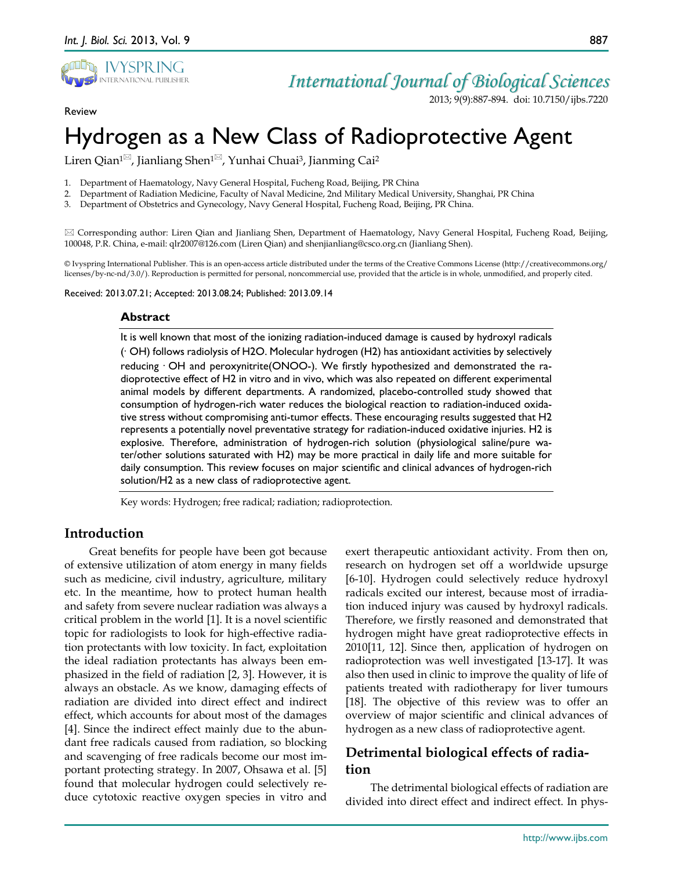

#### Review

2013; 9(9):887-894. doi: 10.7150/ijbs.7220

# Hydrogen as a New Class of Radioprotective Agent

Liren Qian<sup>1⊠</sup>, Jianliang Shen<sup>1⊠</sup>, Yunhai Chuai<sup>3</sup>, Jianming Cai<sup>2</sup>

1. Department of Haematology, Navy General Hospital, Fucheng Road, Beijing, PR China

2. Department of Radiation Medicine, Faculty of Naval Medicine, 2nd Military Medical University, Shanghai, PR China

3. Department of Obstetrics and Gynecology, Navy General Hospital, Fucheng Road, Beijing, PR China.

 Corresponding author: Liren Qian and Jianliang Shen, Department of Haematology, Navy General Hospital, Fucheng Road, Beijing, 100048, P.R. China, e-mail: qlr2007@126.com (Liren Qian) and shenjianliang@csco.org.cn (Jianliang Shen).

© Ivyspring International Publisher. This is an open-access article distributed under the terms of the Creative Commons License (http://creativecommons.org/ licenses/by-nc-nd/3.0/). Reproduction is permitted for personal, noncommercial use, provided that the article is in whole, unmodified, and properly cited.

Received: 2013.07.21; Accepted: 2013.08.24; Published: 2013.09.14

#### **Abstract**

It is well known that most of the ionizing radiation-induced damage is caused by hydroxyl radicals (·OH) follows radiolysis of H2O. Molecular hydrogen (H2) has antioxidant activities by selectively reducing ·OH and peroxynitrite(ONOO-). We firstly hypothesized and demonstrated the radioprotective effect of H2 in vitro and in vivo, which was also repeated on different experimental animal models by different departments. A randomized, placebo-controlled study showed that consumption of hydrogen-rich water reduces the biological reaction to radiation-induced oxidative stress without compromising anti-tumor effects. These encouraging results suggested that H2 represents a potentially novel preventative strategy for radiation-induced oxidative injuries. H2 is explosive. Therefore, administration of hydrogen-rich solution (physiological saline/pure water/other solutions saturated with H2) may be more practical in daily life and more suitable for daily consumption. This review focuses on major scientific and clinical advances of hydrogen-rich solution/H2 as a new class of radioprotective agent.

Key words: Hydrogen; free radical; radiation; radioprotection.

# **Introduction**

Great benefits for people have been got because of extensive utilization of atom energy in many fields such as medicine, civil industry, agriculture, military etc. In the meantime, how to protect human health and safety from severe nuclear radiation was always a critical problem in the world [1]. It is a novel scientific topic for radiologists to look for high-effective radiation protectants with low toxicity. In fact, exploitation the ideal radiation protectants has always been emphasized in the field of radiation [2, 3]. However, it is always an obstacle. As we know, damaging effects of radiation are divided into direct effect and indirect effect, which accounts for about most of the damages [4]. Since the indirect effect mainly due to the abundant free radicals caused from radiation, so blocking and scavenging of free radicals become our most important protecting strategy. In 2007, Ohsawa et al. [5] found that molecular hydrogen could selectively reduce cytotoxic reactive oxygen species in vitro and

exert therapeutic antioxidant activity. From then on, research on hydrogen set off a worldwide upsurge [6-10]. Hydrogen could selectively reduce hydroxyl radicals excited our interest, because most of irradiation induced injury was caused by hydroxyl radicals. Therefore, we firstly reasoned and demonstrated that hydrogen might have great radioprotective effects in 2010[11, 12]. Since then, application of hydrogen on radioprotection was well investigated [13-17]. It was also then used in clinic to improve the quality of life of patients treated with radiotherapy for liver tumours [18]. The objective of this review was to offer an overview of major scientific and clinical advances of hydrogen as a new class of radioprotective agent.

# **Detrimental biological effects of radiation**

The detrimental biological effects of radiation are divided into direct effect and indirect effect. In phys-

887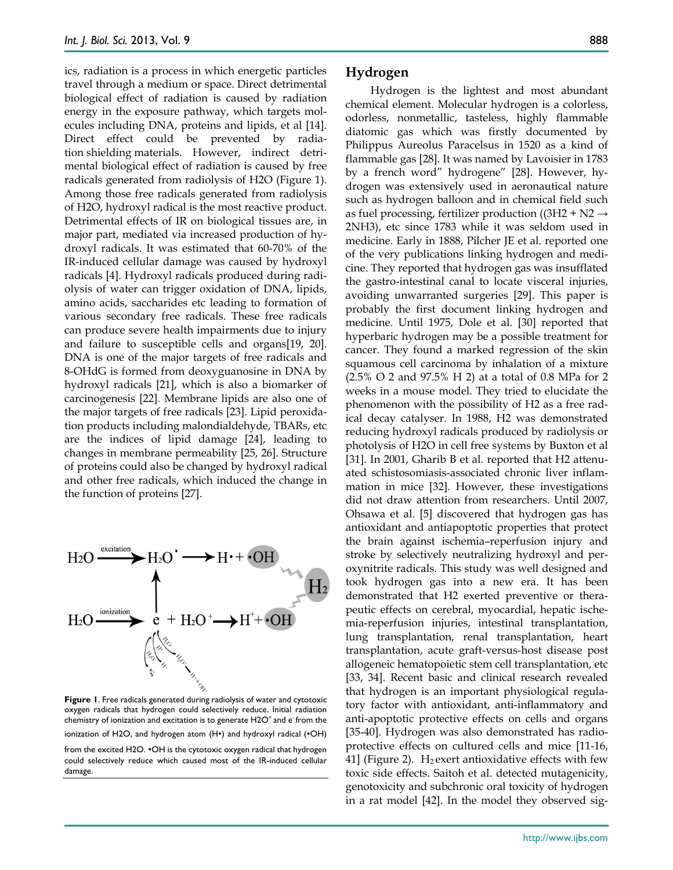ics, radiation is a process in which energetic particles travel through a medium or space. Direct detrimental biological effect of radiation is caused by radiation energy in the exposure pathway, which targets molecules including DNA, proteins and lipids, et al [14]. Direct effect could be prevented by radiation shielding materials. However, indirect detrimental biological effect of radiation is caused by free radicals generated from radiolysis of H2O (Figure 1). Among those free radicals generated from radiolysis of H2O, hydroxyl radical is the most reactive product. Detrimental effects of IR on biological tissues are, in major part, mediated via increased production of hydroxyl radicals. It was estimated that 60-70% of the IR-induced cellular damage was caused by hydroxyl radicals [4]. Hydroxyl radicals produced during radiolysis of water can trigger oxidation of DNA, lipids, amino acids, saccharides etc leading to formation of various secondary free radicals. These free radicals can produce severe health impairments due to injury and failure to susceptible cells and organs[19, 20]. DNA is one of the major targets of free radicals and 8-OHdG is formed from deoxyguanosine in DNA by hydroxyl radicals [21], which is also a biomarker of carcinogenesis [22]. Membrane lipids are also one of the major targets of free radicals [23]. Lipid peroxidation products including malondialdehyde, TBARs, etc are the indices of lipid damage [24], leading to changes in membrane permeability [25, 26]. Structure of proteins could also be changed by hydroxyl radical and other free radicals, which induced the change in the function of proteins [27].



**Figure 1**. Free radicals generated during radiolysis of water and cytotoxic oxygen radicals that hydrogen could selectively reduce. Initial radiation chemistry of ionization and excitation is to generate H2O<sup>+</sup> and e<sup>-</sup> from the ionization of H2O, and hydrogen atom (H∙) and hydroxyl radical (∙OH)

from the excited H2O. ∙OH is the cytotoxic oxygen radical that hydrogen could selectively reduce which caused most of the IR-induced cellular damage.

# **Hydrogen**

Hydrogen is the lightest and most abundant chemical element. Molecular hydrogen is a colorless, odorless, nonmetallic, tasteless, highly flammable diatomic gas which was firstly documented by Philippus Aureolus Paracelsus in 1520 as a kind of flammable gas [28]. It was named by Lavoisier in 1783 by a french word" hydrogene" [28]. However, hydrogen was extensively used in aeronautical nature such as hydrogen balloon and in chemical field such as fuel processing, fertilizer production ((3H2 + N2  $\rightarrow$ 2NH3), etc since 1783 while it was seldom used in medicine. Early in 1888, Pilcher JE et al. reported one of the very publications linking hydrogen and medicine. They reported that hydrogen gas was insufflated the gastro-intestinal canal to locate visceral injuries, avoiding unwarranted surgeries [29]. This paper is probably the first document linking hydrogen and medicine. Until 1975, Dole et al. [30] reported that hyperbaric hydrogen may be a possible treatment for cancer. They found a marked regression of the skin squamous cell carcinoma by inhalation of a mixture (2.5% O 2 and 97.5% H 2) at a total of 0.8 MPa for 2 weeks in a mouse model. They tried to elucidate the phenomenon with the possibility of H2 as a free radical decay catalyser. In 1988, H2 was demonstrated reducing hydroxyl radicals produced by radiolysis or photolysis of H2O in cell free systems by Buxton et al [31]. In 2001, Gharib B et al. reported that H2 attenuated schistosomiasis-associated chronic liver inflammation in mice [32]. However, these investigations did not draw attention from researchers. Until 2007, Ohsawa et al. [5] discovered that hydrogen gas has antioxidant and antiapoptotic properties that protect the brain against ischemia–reperfusion injury and stroke by selectively neutralizing hydroxyl and peroxynitrite radicals. This study was well designed and took hydrogen gas into a new era. It has been demonstrated that H2 exerted preventive or therapeutic effects on cerebral, myocardial, hepatic ischemia-reperfusion injuries, intestinal transplantation, lung transplantation, renal transplantation, heart transplantation, acute graft-versus-host disease post allogeneic hematopoietic stem cell transplantation, etc [33, 34]. Recent basic and clinical research revealed that hydrogen is an important physiological regulatory factor with antioxidant, anti-inflammatory and anti-apoptotic protective effects on cells and organs [35-40]. Hydrogen was also demonstrated has radioprotective effects on cultured cells and mice [11-16, 41] (Figure 2).  $H_2$  exert antioxidative effects with few toxic side effects. Saitoh et al. detected mutagenicity, genotoxicity and subchronic oral toxicity of hydrogen in a rat model [42]. In the model they observed sig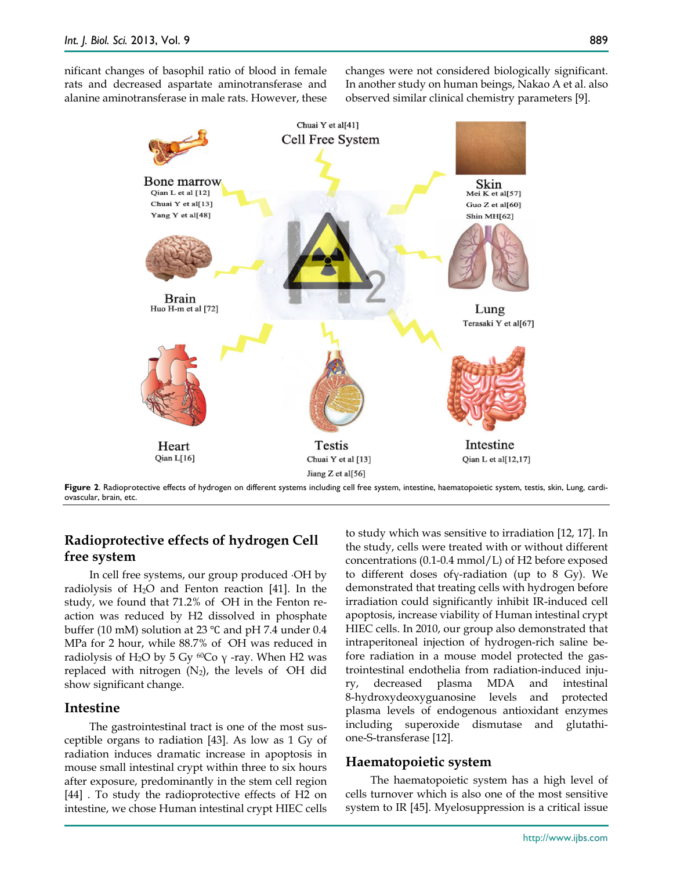nificant changes of basophil ratio of blood in female rats and decreased aspartate aminotransferase and alanine aminotransferase in male rats. However, these changes were not considered biologically significant. In another study on human beings, Nakao A et al. also observed similar clinical chemistry parameters [9].



# **Radioprotective effects of hydrogen Cell free system**

In cell free systems, our group produced ∙OH by radiolysis of H2O and Fenton reaction [41]. In the study, we found that  $71.2\%$  of OH in the Fenton reaction was reduced by H2 dissolved in phosphate buffer (10 mM) solution at 23 ℃ and pH 7.4 under 0.4 MPa for 2 hour, while 88.7% of OH was reduced in radiolysis of H<sub>2</sub>O by 5 Gy <sup>60</sup>Co γ -ray. When H2 was replaced with nitrogen  $(N_2)$ , the levels of OH did show significant change.

# **Intestine**

The gastrointestinal tract is one of the most susceptible organs to radiation [43]. As low as 1 Gy of radiation induces dramatic increase in apoptosis in mouse small intestinal crypt within three to six hours after exposure, predominantly in the stem cell region [44] . To study the radioprotective effects of H2 on intestine, we chose Human intestinal crypt HIEC cells

to study which was sensitive to irradiation [12, 17]. In the study, cells were treated with or without different concentrations (0.1-0.4 mmol/L) of H2 before exposed to different doses ofγ-radiation (up to 8 Gy). We demonstrated that treating cells with hydrogen before irradiation could significantly inhibit IR-induced cell apoptosis, increase viability of Human intestinal crypt HIEC cells. In 2010, our group also demonstrated that intraperitoneal injection of hydrogen-rich saline before radiation in a mouse model protected the gastrointestinal endothelia from radiation-induced injury, decreased plasma MDA and intestinal 8-hydroxydeoxyguanosine levels and protected plasma levels of endogenous antioxidant enzymes including superoxide dismutase and glutathione-S-transferase [12].

# **Haematopoietic system**

The haematopoietic system has a high level of cells turnover which is also one of the most sensitive system to IR [45]. Myelosuppression is a critical issue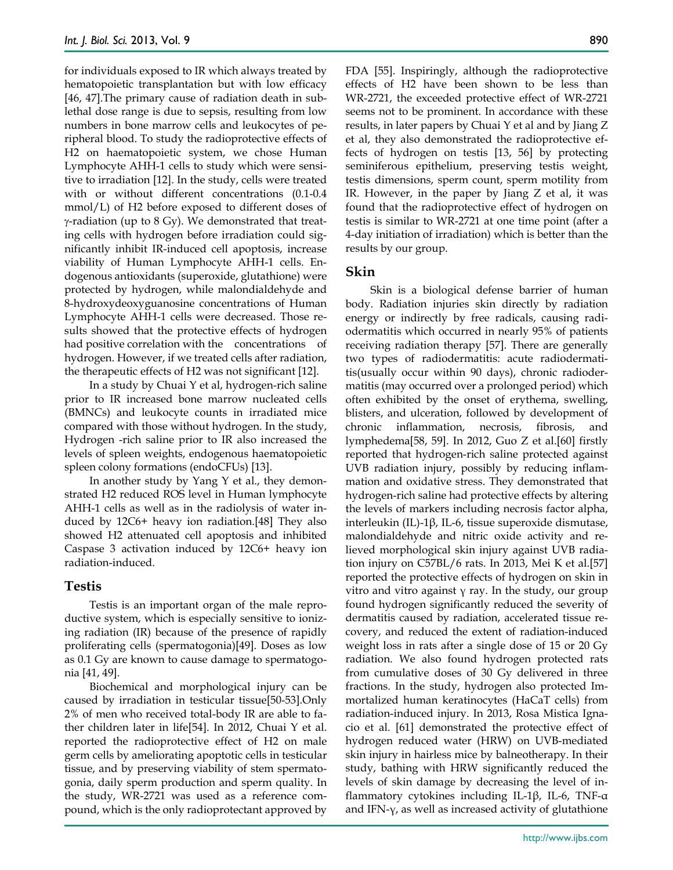for individuals exposed to IR which always treated by hematopoietic transplantation but with low efficacy [46, 47].The primary cause of radiation death in sublethal dose range is due to sepsis, resulting from low numbers in bone marrow cells and leukocytes of peripheral blood. To study the radioprotective effects of H2 on haematopoietic system, we chose Human Lymphocyte AHH-1 cells to study which were sensitive to irradiation [12]. In the study, cells were treated with or without different concentrations (0.1-0.4 mmol/L) of H2 before exposed to different doses of γ-radiation (up to 8 Gy). We demonstrated that treating cells with hydrogen before irradiation could significantly inhibit IR-induced cell apoptosis, increase viability of Human Lymphocyte AHH-1 cells. Endogenous antioxidants (superoxide, glutathione) were protected by hydrogen, while malondialdehyde and 8-hydroxydeoxyguanosine concentrations of Human Lymphocyte AHH-1 cells were decreased. Those results showed that the protective effects of hydrogen had positive correlation with the concentrations of hydrogen. However, if we treated cells after radiation, the therapeutic effects of H2 was not significant [12].

In a study by Chuai Y et al, hydrogen-rich saline prior to IR increased bone marrow nucleated cells (BMNCs) and leukocyte counts in irradiated mice compared with those without hydrogen. In the study, Hydrogen -rich saline prior to IR also increased the levels of spleen weights, endogenous haematopoietic spleen colony formations (endoCFUs) [13].

In another study by Yang Y et al., they demonstrated H2 reduced ROS level in Human lymphocyte AHH-1 cells as well as in the radiolysis of water induced by 12C6+ heavy ion radiation.[48] They also showed H2 attenuated cell apoptosis and inhibited Caspase 3 activation induced by 12C6+ heavy ion radiation-induced.

# **Testis**

Testis is an important organ of the male reproductive system, which is especially sensitive to ionizing radiation (IR) because of the presence of rapidly proliferating cells (spermatogonia)[49]. Doses as low as 0.1 Gy are known to cause damage to spermatogonia [41, 49].

Biochemical and morphological injury can be caused by irradiation in testicular tissue[50-53].Only 2% of men who received total-body IR are able to father children later in life[54]. In 2012, Chuai Y et al. reported the radioprotective effect of H2 on male germ cells by ameliorating apoptotic cells in testicular tissue, and by preserving viability of stem spermatogonia, daily sperm production and sperm quality. In the study, WR-2721 was used as a reference compound, which is the only radioprotectant approved by

FDA [55]. Inspiringly, although the radioprotective effects of H2 have been shown to be less than WR-2721, the exceeded protective effect of WR-2721 seems not to be prominent. In accordance with these results, in later papers by Chuai Y et al and by Jiang Z et al, they also demonstrated the radioprotective effects of hydrogen on testis [13, 56] by protecting seminiferous epithelium, preserving testis weight, testis dimensions, sperm count, sperm motility from IR. However, in the paper by Jiang Z et al, it was found that the radioprotective effect of hydrogen on testis is similar to WR-2721 at one time point (after a 4-day initiation of irradiation) which is better than the results by our group.

# **Skin**

Skin is a biological defense barrier of human body. Radiation injuries skin directly by radiation energy or indirectly by free radicals, causing radiodermatitis which occurred in nearly 95% of patients receiving radiation therapy [57]. There are generally two types of radiodermatitis: acute radiodermatitis(usually occur within 90 days), chronic radiodermatitis (may occurred over a prolonged period) which often exhibited by the onset of erythema, swelling, blisters, and ulceration, followed by development of chronic inflammation, necrosis, fibrosis, and lymphedema[58, 59]. In 2012, Guo Z et al.[60] firstly reported that hydrogen-rich saline protected against UVB radiation injury, possibly by reducing inflammation and oxidative stress. They demonstrated that hydrogen-rich saline had protective effects by altering the levels of markers including necrosis factor alpha, interleukin (IL)-1β, IL-6, tissue superoxide dismutase, malondialdehyde and nitric oxide activity and relieved morphological skin injury against UVB radiation injury on C57BL/6 rats. In 2013, Mei K et al.[57] reported the protective effects of hydrogen on skin in vitro and vitro against γ ray. In the study, our group found hydrogen significantly reduced the severity of dermatitis caused by radiation, accelerated tissue recovery, and reduced the extent of radiation-induced weight loss in rats after a single dose of 15 or 20 Gy radiation. We also found hydrogen protected rats from cumulative doses of 30 Gy delivered in three fractions. In the study, hydrogen also protected Immortalized human keratinocytes (HaCaT cells) from radiation-induced injury. In 2013, Rosa Mistica Ignacio et al. [61] demonstrated the protective effect of hydrogen reduced water (HRW) on UVB-mediated skin injury in hairless mice by balneotherapy. In their study, bathing with HRW significantly reduced the levels of skin damage by decreasing the level of inflammatory cytokines including IL-1β, IL-6, TNF-α and IFN-γ, as well as increased activity of glutathione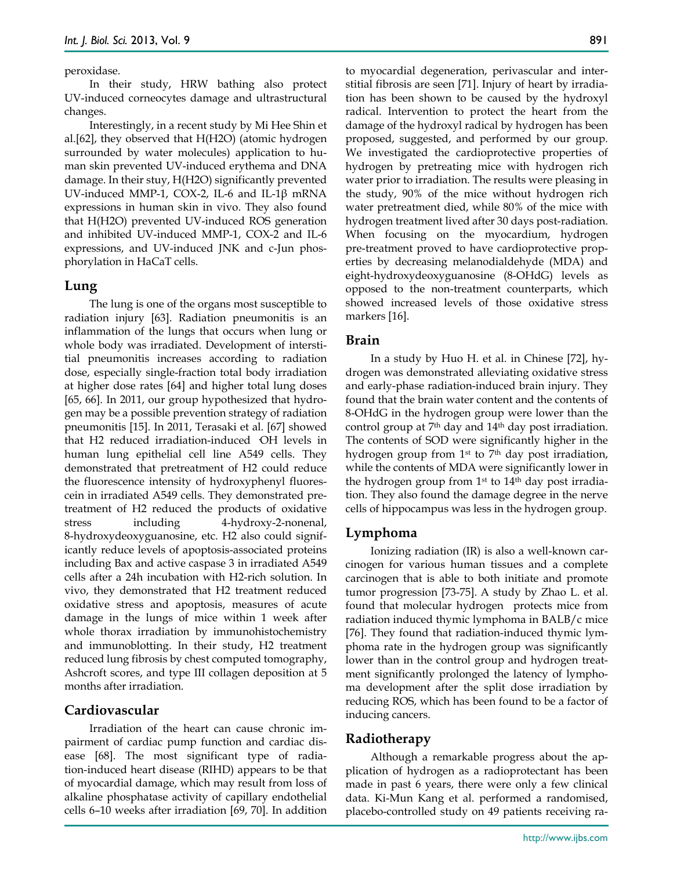#### peroxidase.

In their study, HRW bathing also protect UV-induced corneocytes damage and ultrastructural changes.

Interestingly, in a recent study by Mi Hee Shin et al.[62], they observed that H(H2O) (atomic hydrogen surrounded by water molecules) application to human skin prevented UV-induced erythema and DNA damage. In their stuy, H(H2O) significantly prevented UV-induced MMP-1, COX-2, IL-6 and IL-1β mRNA expressions in human skin in vivo. They also found that H(H2O) prevented UV-induced ROS generation and inhibited UV-induced MMP-1, COX-2 and IL-6 expressions, and UV-induced JNK and c-Jun phosphorylation in HaCaT cells.

#### **Lung**

The lung is one of the organs most susceptible to radiation injury [63]. Radiation pneumonitis is an inflammation of the lungs that occurs when lung or whole body was irradiated. Development of interstitial pneumonitis increases according to radiation dose, especially single-fraction total body irradiation at higher dose rates [64] and higher total lung doses [65, 66]. In 2011, our group hypothesized that hydrogen may be a possible prevention strategy of radiation pneumonitis [15]. In 2011, Terasaki et al. [67] showed that H<sub>2</sub> reduced irradiation-induced OH levels in human lung epithelial cell line A549 cells. They demonstrated that pretreatment of H2 could reduce the fluorescence intensity of hydroxyphenyl fluorescein in irradiated A549 cells. They demonstrated pretreatment of H2 reduced the products of oxidative stress including 4-hydroxy-2-nonenal, 8-hydroxydeoxyguanosine, etc. H2 also could significantly reduce levels of apoptosis-associated proteins including Bax and active caspase 3 in irradiated A549 cells after a 24h incubation with H2-rich solution. In vivo, they demonstrated that H2 treatment reduced oxidative stress and apoptosis, measures of acute damage in the lungs of mice within 1 week after whole thorax irradiation by immunohistochemistry and immunoblotting. In their study, H2 treatment reduced lung fibrosis by chest computed tomography, Ashcroft scores, and type III collagen deposition at 5 months after irradiation.

# **Cardiovascular**

Irradiation of the heart can cause chronic impairment of cardiac pump function and cardiac disease [68]. The most significant type of radiation-induced heart disease (RIHD) appears to be that of myocardial damage, which may result from loss of alkaline phosphatase activity of capillary endothelial cells 6–10 weeks after irradiation [69, 70]. In addition to myocardial degeneration, perivascular and interstitial fibrosis are seen [71]. Injury of heart by irradiation has been shown to be caused by the hydroxyl radical. Intervention to protect the heart from the damage of the hydroxyl radical by hydrogen has been proposed, suggested, and performed by our group. We investigated the cardioprotective properties of hydrogen by pretreating mice with hydrogen rich water prior to irradiation. The results were pleasing in the study, 90% of the mice without hydrogen rich water pretreatment died, while 80% of the mice with hydrogen treatment lived after 30 days post-radiation. When focusing on the myocardium, hydrogen pre-treatment proved to have cardioprotective properties by decreasing melanodialdehyde (MDA) and eight-hydroxydeoxyguanosine (8-OHdG) levels as opposed to the non-treatment counterparts, which showed increased levels of those oxidative stress markers [16].

# **Brain**

In a study by Huo H. et al. in Chinese [72], hydrogen was demonstrated alleviating oxidative stress and early-phase radiation-induced brain injury. They found that the brain water content and the contents of 8-OHdG in the hydrogen group were lower than the control group at 7th day and 14th day post irradiation. The contents of SOD were significantly higher in the hydrogen group from 1<sup>st</sup> to 7<sup>th</sup> day post irradiation, while the contents of MDA were significantly lower in the hydrogen group from 1st to 14th day post irradiation. They also found the damage degree in the nerve cells of hippocampus was less in the hydrogen group.

#### **Lymphoma**

Ionizing radiation (IR) is also a well-known carcinogen for various human tissues and a complete carcinogen that is able to both initiate and promote tumor progression [73-75]. A study by Zhao L. et al. found that molecular hydrogen protects mice from radiation induced thymic lymphoma in BALB/c mice [76]. They found that radiation-induced thymic lymphoma rate in the hydrogen group was significantly lower than in the control group and hydrogen treatment significantly prolonged the latency of lymphoma development after the split dose irradiation by reducing ROS, which has been found to be a factor of inducing cancers.

## **Radiotherapy**

Although a remarkable progress about the application of hydrogen as a radioprotectant has been made in past 6 years, there were only a few clinical data. Ki-Mun Kang et al. performed a randomised, placebo-controlled study on 49 patients receiving ra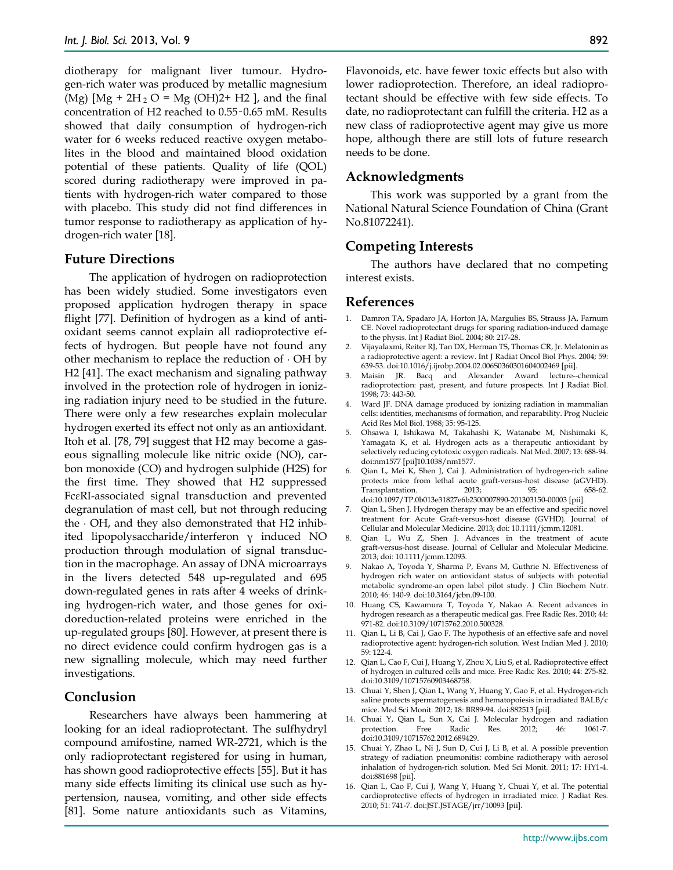diotherapy for malignant liver tumour. Hydrogen-rich water was produced by metallic magnesium (Mg)  $[Mg + 2H_2 O = Mg (OH)2 + H2$ , and the final concentration of H2 reached to 0.55–0.65 mM. Results showed that daily consumption of hydrogen-rich water for 6 weeks reduced reactive oxygen metabolites in the blood and maintained blood oxidation potential of these patients. Quality of life (QOL) scored during radiotherapy were improved in patients with hydrogen-rich water compared to those with placebo. This study did not find differences in tumor response to radiotherapy as application of hydrogen-rich water [18].

## **Future Directions**

The application of hydrogen on radioprotection has been widely studied. Some investigators even proposed application hydrogen therapy in space flight [77]. Definition of hydrogen as a kind of antioxidant seems cannot explain all radioprotective effects of hydrogen. But people have not found any other mechanism to replace the reduction of ∙ OH by H2 [41]. The exact mechanism and signaling pathway involved in the protection role of hydrogen in ionizing radiation injury need to be studied in the future. There were only a few researches explain molecular hydrogen exerted its effect not only as an antioxidant. Itoh et al. [78, 79] suggest that H2 may become a gaseous signalling molecule like nitric oxide (NO), carbon monoxide (CO) and hydrogen sulphide (H2S) for the first time. They showed that H2 suppressed FcɛRI-associated signal transduction and prevented degranulation of mast cell, but not through reducing the ∙ OH, and they also demonstrated that H2 inhibited lipopolysaccharide/interferon γ induced NO production through modulation of signal transduction in the macrophage. An assay of DNA microarrays in the livers detected 548 up-regulated and 695 down-regulated genes in rats after 4 weeks of drinking hydrogen-rich water, and those genes for oxidoreduction-related proteins were enriched in the up-regulated groups [80]. However, at present there is no direct evidence could confirm hydrogen gas is a new signalling molecule, which may need further investigations.

# **Conclusion**

Researchers have always been hammering at looking for an ideal radioprotectant. The sulfhydryl compound amifostine, named WR-2721, which is the only radioprotectant registered for using in human, has shown good radioprotective effects [55]. But it has many side effects limiting its clinical use such as hypertension, nausea, vomiting, and other side effects [81]. Some nature antioxidants such as Vitamins,

Flavonoids, etc. have fewer toxic effects but also with lower radioprotection. Therefore, an ideal radioprotectant should be effective with few side effects. To date, no radioprotectant can fulfill the criteria. H2 as a new class of radioprotective agent may give us more hope, although there are still lots of future research needs to be done.

#### **Acknowledgments**

This work was supported by a grant from the National Natural Science Foundation of China (Grant No.81072241).

# **Competing Interests**

The authors have declared that no competing interest exists.

#### **References**

- 1. Damron TA, Spadaro JA, Horton JA, Margulies BS, Strauss JA, Farnum CE. Novel radioprotectant drugs for sparing radiation-induced damage to the physis. Int J Radiat Biol. 2004; 80: 217-28.
- 2. Vijayalaxmi, Reiter RJ, Tan DX, Herman TS, Thomas CR, Jr. Melatonin as a radioprotective agent: a review. Int J Radiat Oncol Biol Phys. 2004; 59: 639-53. doi:10.1016/j.ijrobp.2004.02.006S0360301604002469 [pii].
- 3. Maisin JR. Bacq and Alexander Award lecture--chemical radioprotection: past, present, and future prospects. Int J Radiat Biol. 1998; 73: 443-50.
- 4. Ward JF. DNA damage produced by ionizing radiation in mammalian cells: identities, mechanisms of formation, and reparability. Prog Nucleic Acid Res Mol Biol. 1988; 35: 95-125.
- 5. Ohsawa I, Ishikawa M, Takahashi K, Watanabe M, Nishimaki K, Yamagata K, et al. Hydrogen acts as a therapeutic antioxidant by selectively reducing cytotoxic oxygen radicals. Nat Med. 2007; 13: 688-94. doi:nm1577 [pii]10.1038/nm1577.
- 6. Qian L, Mei K, Shen J, Cai J. Administration of hydrogen-rich saline protects mice from lethal acute graft-versus-host disease (aGVHD). Transplantation. 2013; 95: 658-62. doi:10.1097/TP.0b013e31827e6b2300007890-201303150-00003 [pii].
- 7. Qian L, Shen J. Hydrogen therapy may be an effective and specific novel treatment for Acute Graft-versus-host disease (GVHD). Journal of Cellular and Molecular Medicine. 2013; doi: 10.1111/jcmm.12081.
- 8. Qian L, Wu Z, Shen J. Advances in the treatment of acute graft-versus-host disease. Journal of Cellular and Molecular Medicine. 2013; doi: 10.1111/jcmm.12093.
- 9. Nakao A, Toyoda Y, Sharma P, Evans M, Guthrie N. Effectiveness of hydrogen rich water on antioxidant status of subjects with potential metabolic syndrome-an open label pilot study. J Clin Biochem Nutr. 2010; 46: 140-9. doi:10.3164/jcbn.09-100.
- 10. Huang CS, Kawamura T, Toyoda Y, Nakao A. Recent advances in hydrogen research as a therapeutic medical gas. Free Radic Res. 2010; 44: 971-82. doi:10.3109/10715762.2010.500328.
- 11. Qian L, Li B, Cai J, Gao F. The hypothesis of an effective safe and novel radioprotective agent: hydrogen-rich solution. West Indian Med J. 2010; 59: 122-4.
- 12. Qian L, Cao F, Cui J, Huang Y, Zhou X, Liu S, et al. Radioprotective effect of hydrogen in cultured cells and mice. Free Radic Res. 2010; 44: 275-82. doi:10.3109/10715760903468758.
- 13. Chuai Y, Shen J, Qian L, Wang Y, Huang Y, Gao F, et al. Hydrogen-rich saline protects spermatogenesis and hematopoiesis in irradiated BALB/c mice. Med Sci Monit. 2012; 18: BR89-94. doi:882513 [pii].
- 14. Chuai Y, Qian L, Sun X, Cai J. Molecular hydrogen and radiation protection. Free Radic Res. 2012; 46: 1061-7. doi:10.3109/10715762.2012.689429.
- 15. Chuai Y, Zhao L, Ni J, Sun D, Cui J, Li B, et al. A possible prevention strategy of radiation pneumonitis: combine radiotherapy with aerosol inhalation of hydrogen-rich solution. Med Sci Monit. 2011; 17: HY1-4. doi:881698 [pii].
- 16. Qian L, Cao F, Cui J, Wang Y, Huang Y, Chuai Y, et al. The potential cardioprotective effects of hydrogen in irradiated mice. J Radiat Res. 2010; 51: 741-7. doi:JST.JSTAGE/jrr/10093 [pii].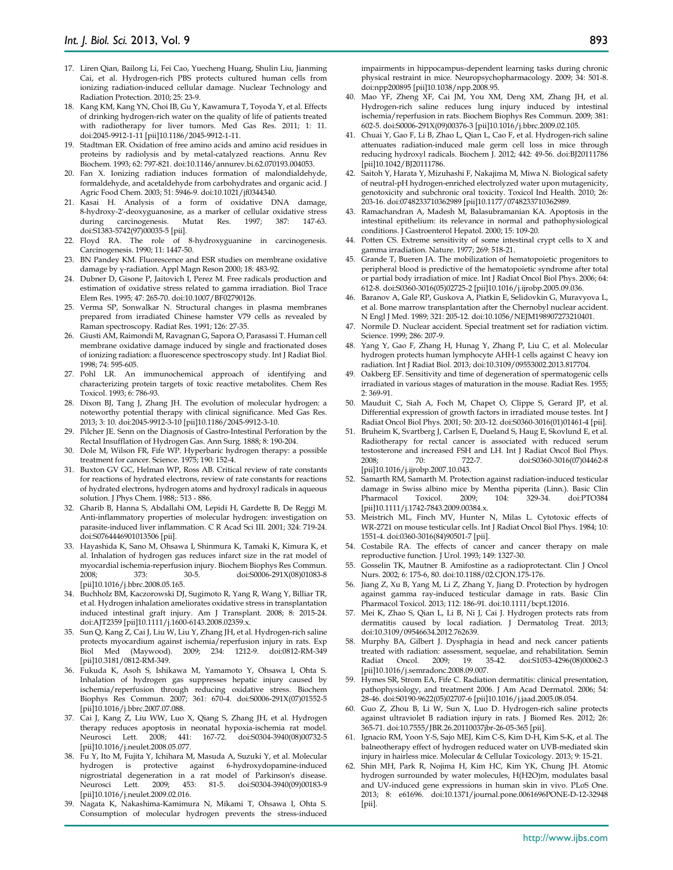- 17. Liren Qian, Bailong Li, Fei Cao, Yuecheng Huang, Shulin Liu, Jianming Cai, et al. Hydrogen-rich PBS protects cultured human cells from ionizing radiation-induced cellular damage. Nuclear Technology and Radiation Protection. 2010; 25: 23-9.
- 18. Kang KM, Kang YN, Choi IB, Gu Y, Kawamura T, Toyoda Y, et al. Effects of drinking hydrogen-rich water on the quality of life of patients treated with radiotherapy for liver tumors. Med Gas Res. 2011; 1: 11. doi:2045-9912-1-11 [pii]10.1186/2045-9912-1-11.
- 19. Stadtman ER. Oxidation of free amino acids and amino acid residues in proteins by radiolysis and by metal-catalyzed reactions. Annu Rev Biochem. 1993; 62: 797-821. doi:10.1146/annurev.bi.62.070193.004053.
- 20. Fan X. Ionizing radiation induces formation of malondialdehyde, formaldehyde, and acetaldehyde from carbohydrates and organic acid. J Agric Food Chem. 2003; 51: 5946-9. doi:10.1021/jf0344340.
- 21. Kasai H. Analysis of a form of oxidative DNA damage, 8-hydroxy-2'-deoxyguanosine, as a marker of cellular oxidative stress during carcinogenesis. Mutat Res. 1997; 387: 147-63. doi:S1383-5742(97)00035-5 [pii].
- 22. Floyd RA. The role of 8-hydroxyguanine in carcinogenesis. Carcinogenesis. 1990; 11: 1447-50.
- 23. BN Pandey KM. Fluorescence and ESR studies on membrane oxidative damage by γ-radiation. Appl Magn Reson 2000; 18: 483-92.
- 24. Dubner D, Gisone P, Jaitovich I, Perez M. Free radicals production and estimation of oxidative stress related to gamma irradiation. Biol Trace Elem Res. 1995; 47: 265-70. doi:10.1007/BF02790126.
- 25. Verma SP, Sonwalkar N. Structural changes in plasma membranes prepared from irradiated Chinese hamster V79 cells as revealed by Raman spectroscopy. Radiat Res. 1991; 126: 27-35.
- 26. Giusti AM, Raimondi M, Ravagnan G, Sapora O, Parasassi T. Human cell membrane oxidative damage induced by single and fractionated doses of ionizing radiation: a fluorescence spectroscopy study. Int J Radiat Biol. 1998; 74: 595-605.
- 27. Pohl LR. An immunochemical approach of identifying and characterizing protein targets of toxic reactive metabolites. Chem Res Toxicol. 1993; 6: 786-93.
- 28. Dixon BJ, Tang J, Zhang JH. The evolution of molecular hydrogen: a noteworthy potential therapy with clinical significance. Med Gas Res. 2013; 3: 10. doi:2045-9912-3-10 [pii]10.1186/2045-9912-3-10.
- 29. Pilcher JE. Senn on the Diagnosis of Gastro-Intestinal Perforation by the Rectal Insufflation of Hydrogen Gas. Ann Surg. 1888; 8: 190-204.
- 30. Dole M, Wilson FR, Fife WP. Hyperbaric hydrogen therapy: a possible treatment for cancer. Science. 1975; 190: 152-4.
- 31. Buxton GV GC, Helman WP, Ross AB. Critical review of rate constants for reactions of hydrated electrons, review of rate constants for reactions of hydrated electrons, hydrogen atoms and hydroxyl radicals in aqueous solution. J Phys Chem. 1988;: 513 - 886.
- 32. Gharib B, Hanna S, Abdallahi OM, Lepidi H, Gardette B, De Reggi M. Anti-inflammatory properties of molecular hydrogen: investigation on parasite-induced liver inflammation. C R Acad Sci III. 2001; 324: 719-24. doi:S0764446901013506 [pii].
- 33. Hayashida K, Sano M, Ohsawa I, Shinmura K, Tamaki K, Kimura K, et al. Inhalation of hydrogen gas reduces infarct size in the rat model of myocardial ischemia-reperfusion injury. Biochem Biophys Res Commun. 2008; 373: 30-5. doi:S0006-291X(08)01083-8 [pii]10.1016/j.bbrc.2008.05.165.
- 34. Buchholz BM, Kaczorowski DJ, Sugimoto R, Yang R, Wang Y, Billiar TR, et al. Hydrogen inhalation ameliorates oxidative stress in transplantation induced intestinal graft injury. Am J Transplant. 2008; 8: 2015-24. doi:AJT2359 [pii]10.1111/j.1600-6143.2008.02359.x.
- 35. Sun Q, Kang Z, Cai J, Liu W, Liu Y, Zhang JH, et al. Hydrogen-rich saline protects myocardium against ischemia/reperfusion injury in rats. Exp Biol Med (Maywood). 2009; 234: 1212-9. doi:0812-RM-349 [pii]10.3181/0812-RM-349.
- 36. Fukuda K, Asoh S, Ishikawa M, Yamamoto Y, Ohsawa I, Ohta S. Inhalation of hydrogen gas suppresses hepatic injury caused by ischemia/reperfusion through reducing oxidative stress. Biochem Biophys Res Commun. 2007; 361: 670-4. doi:S0006-291X(07)01552-5 [pii]10.1016/j.bbrc.2007.07.088.
- 37. Cai J, Kang Z, Liu WW, Luo X, Qiang S, Zhang JH, et al. Hydrogen therapy reduces apoptosis in neonatal hypoxia-ischemia rat model. Neurosci Lett. 2008; 441: 167-72. doi:S0304-3940(08)00732-5 [pii]10.1016/j.neulet.2008.05.077.
- 38. Fu Y, Ito M, Fujita Y, Ichihara M, Masuda A, Suzuki Y, et al. Molecular hydrogen is protective against 6-hydroxydopamine-induced nigrostriatal degeneration in a rat model of Parkinson's disease. Neurosci Lett. 2009; 453: 81-5. doi:S0304-3940(09)00183-9 [pii]10.1016/j.neulet.2009.02.016.
- 39. Nagata K, Nakashima-Kamimura N, Mikami T, Ohsawa I, Ohta S. Consumption of molecular hydrogen prevents the stress-induced

impairments in hippocampus-dependent learning tasks during chronic physical restraint in mice. Neuropsychopharmacology. 2009; 34: 501-8. doi:npp200895 [pii]10.1038/npp.2008.95.

- 40. Mao YF, Zheng XF, Cai JM, You XM, Deng XM, Zhang JH, et al. Hydrogen-rich saline reduces lung injury induced by intestinal ischemia/reperfusion in rats. Biochem Biophys Res Commun. 2009; 381: 602-5. doi:S0006-291X(09)00376-3 [pii]10.1016/j.bbrc.2009.02.105.
- 41. Chuai Y, Gao F, Li B, Zhao L, Qian L, Cao F, et al. Hydrogen-rich saline attenuates radiation-induced male germ cell loss in mice through reducing hydroxyl radicals. Biochem J. 2012; 442: 49-56. doi:BJ20111786 [pii]10.1042/BJ20111786.
- 42. Saitoh Y, Harata Y, Mizuhashi F, Nakajima M, Miwa N. Biological safety of neutral-pH hydrogen-enriched electrolyzed water upon mutagenicity, genotoxicity and subchronic oral toxicity. Toxicol Ind Health. 2010; 26: 203-16. doi:0748233710362989 [pii]10.1177/0748233710362989.
- 43. Ramachandran A, Madesh M, Balasubramanian KA. Apoptosis in the intestinal epithelium: its relevance in normal and pathophysiological conditions. J Gastroenterol Hepatol. 2000; 15: 109-20.
- 44. Potten CS. Extreme sensitivity of some intestinal crypt cells to X and gamma irradiation. Nature. 1977; 269: 518-21.
- 45. Grande T, Bueren JA. The mobilization of hematopoietic progenitors to peripheral blood is predictive of the hematopoietic syndrome after total or partial body irradiation of mice. Int J Radiat Oncol Biol Phys. 2006; 64: 612-8. doi:S0360-3016(05)02725-2 [pii]10.1016/j.ijrobp.2005.09.036.
- 46. Baranov A, Gale RP, Guskova A, Piatkin E, Selidovkin G, Muravyova L, et al. Bone marrow transplantation after the Chernobyl nuclear accident. N Engl J Med. 1989; 321: 205-12. doi:10.1056/NEJM198907273210401.
- 47. Normile D. Nuclear accident. Special treatment set for radiation victim. Science. 1999; 286: 207-9.
- 48. Yang Y, Gao F, Zhang H, Hunag Y, Zhang P, Liu C, et al. Molecular hydrogen protects human lymphocyte AHH-1 cells against C heavy ion radiation. Int J Radiat Biol. 2013; doi:10.3109/09553002.2013.817704.
- 49. Oakberg EF. Sensitivity and time of degeneration of spermatogenic cells irradiated in various stages of maturation in the mouse. Radiat Res. 1955; 2: 369-91.
- 50. Mauduit C, Siah A, Foch M, Chapet O, Clippe S, Gerard JP, et al. Differential expression of growth factors in irradiated mouse testes. Int J Radiat Oncol Biol Phys. 2001; 50: 203-12. doi:S0360-3016(01)01461-4 [pii].
- 51. Bruheim K, Svartberg J, Carlsen E, Dueland S, Haug E, Skovlund E, et al. Radiotherapy for rectal cancer is associated with reduced serum testosterone and increased FSH and LH. Int J Radiat Oncol Biol Phys.<br>2008: 70: 722-7. doi:50360-3016(07)04462-8 2008; 70: 722-7. doi:S0360-3016(07)04462-8 [pii]10.1016/j.ijrobp.2007.10.043.
- 52. Samarth RM, Samarth M. Protection against radiation-induced testicular damage in Swiss albino mice by Mentha piperita (Linn.). Basic Clin Pharmacol Toxicol. 2009; 104: 329-34. doi:PTO384 [pii]10.1111/j.1742-7843.2009.00384.x.
- 53. Meistrich ML, Finch MV, Hunter N, Milas L. Cytotoxic effects of WR-2721 on mouse testicular cells. Int J Radiat Oncol Biol Phys. 1984; 10: 1551-4. doi:0360-3016(84)90501-7 [pii].
- 54. Costabile RA. The effects of cancer and cancer therapy on male reproductive function. J Urol. 1993; 149: 1327-30.
- 55. Gosselin TK, Mautner B. Amifostine as a radioprotectant. Clin J Oncol Nurs. 2002; 6: 175-6, 80. doi:10.1188/02.CJON.175-176.
- 56. Jiang Z, Xu B, Yang M, Li Z, Zhang Y, Jiang D. Protection by hydrogen against gamma ray-induced testicular damage in rats. Basic Clin Pharmacol Toxicol. 2013; 112: 186-91. doi:10.1111/bcpt.12016.
- 57. Mei K, Zhao S, Qian L, Li B, Ni J, Cai J. Hydrogen protects rats from dermatitis caused by local radiation. J Dermatolog Treat. 2013; doi:10.3109/09546634.2012.762639.
- 58. Murphy BA, Gilbert J. Dysphagia in head and neck cancer patients treated with radiation: assessment, sequelae, and rehabilitation. Semin Radiat Oncol. 2009; 19: 35-42. doi:S1053-4296(08)00062-3 [pii]10.1016/j.semradonc.2008.09.007.
- 59. Hymes SR, Strom EA, Fife C. Radiation dermatitis: clinical presentation, pathophysiology, and treatment 2006. J Am Acad Dermatol. 2006; 54: 28-46. doi:S0190-9622(05)02707-6 [pii]10.1016/j.jaad.2005.08.054.
- 60. Guo Z, Zhou B, Li W, Sun X, Luo D. Hydrogen-rich saline protects against ultraviolet B radiation injury in rats. J Biomed Res. 2012; 26: 365-71. doi:10.7555/JBR.26.20110037jbr-26-05-365 [pii].
- 61. Ignacio RM, Yoon Y-S, Sajo MEJ, Kim C-S, Kim D-H, Kim S-K, et al. The balneotherapy effect of hydrogen reduced water on UVB-mediated skin injury in hairless mice. Molecular & Cellular Toxicology. 2013; 9: 15-21.
- 62. Shin MH, Park R, Nojima H, Kim HC, Kim YK, Chung JH. Atomic hydrogen surrounded by water molecules, H(H2O)m, modulates basal and UV-induced gene expressions in human skin in vivo. PLoS One. 2013; 8: e61696. doi:10.1371/journal.pone.0061696PONE-D-12-32948 [pii].